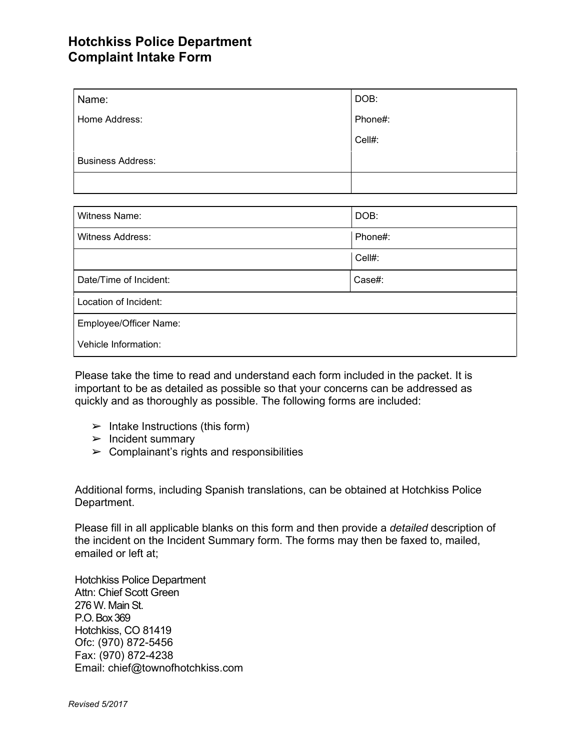## **Hotchkiss Police Department Complaint Intake Form**

| Name:                    | DOB:    |  |
|--------------------------|---------|--|
| Home Address:            | Phone#: |  |
|                          | Cell#:  |  |
| <b>Business Address:</b> |         |  |
|                          |         |  |
|                          |         |  |
| Witness Name:            | DOB:    |  |
| Witness Address:         | Phone#: |  |
|                          | Cell#:  |  |
| Date/Time of Incident:   | Case#:  |  |
| Location of Incident:    |         |  |
| Employee/Officer Name:   |         |  |
| Vehicle Information:     |         |  |

Please take the time to read and understand each form included in the packet. It is important to be as detailed as possible so that your concerns can be addressed as quickly and as thoroughly as possible. The following forms are included:

- $\blacktriangleright$  Intake Instructions (this form)
- ➢ Incident summary
- $\triangleright$  Complainant's rights and responsibilities

Additional forms, including Spanish translations, can be obtained at Hotchkiss Police Department.

Please fill in all applicable blanks on this form and then provide a *detailed* description of the incident on the Incident Summary form. The forms may then be faxed to, mailed, emailed or left at;

Hotchkiss Police Department Attn: Chief Scott Green 276 W. Main St. P.O.Box369 Hotchkiss, CO 81419 Ofc: (970) 872-5456 Fax: (970) 872-4238 Email: chief@townofhotchkiss.com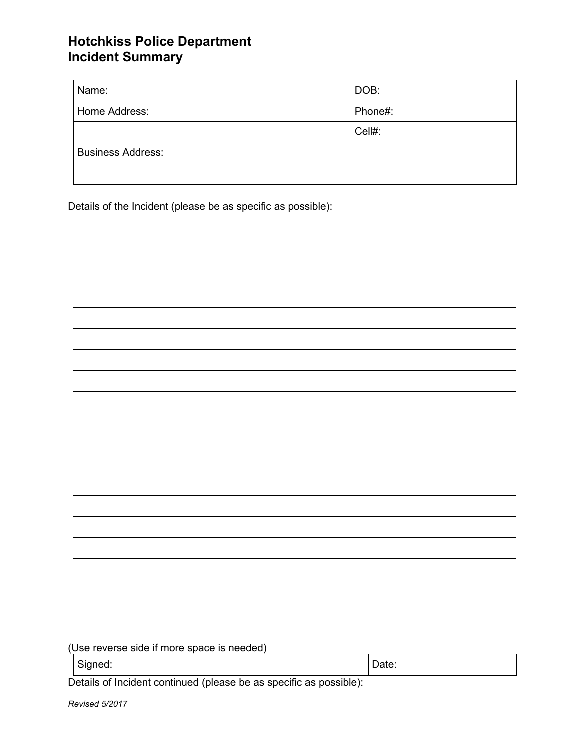## **Hotchkiss Police Department Incident Summary**

| Name:                    | DOB:    |
|--------------------------|---------|
| Home Address:            | Phone#: |
|                          | Cell#:  |
| <b>Business Address:</b> |         |
|                          |         |

Details of the Incident (please be as specific as possible):

| (Use reverse side if more space is needed)                         |       |
|--------------------------------------------------------------------|-------|
|                                                                    |       |
| Signed:                                                            | Date: |
| Details of Incident continued (please be as specific as possible): |       |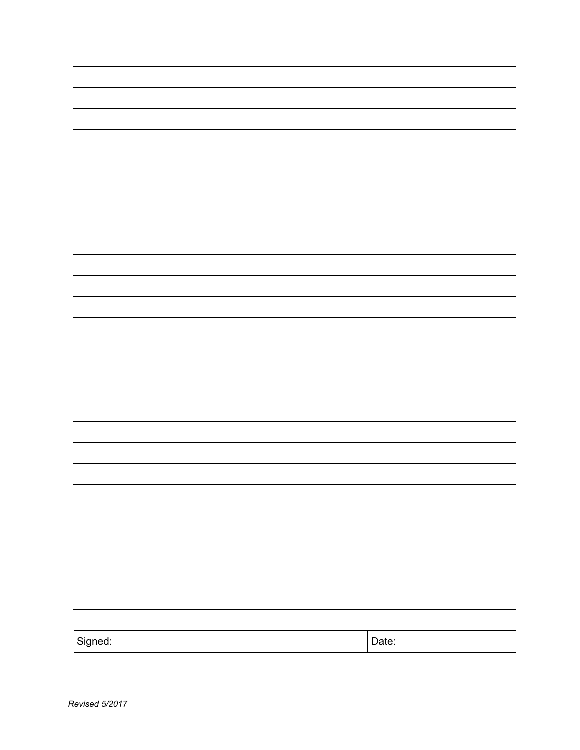| Signed: | Date: |
|---------|-------|